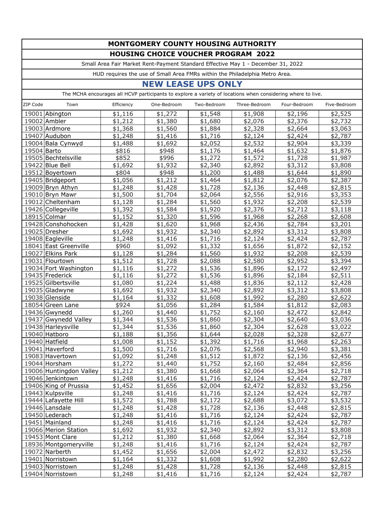## **MONTGOMERY COUNTY HOUSING AUTHORITY HOUSING CHOICE VOUCHER PROGRAM 2022**

Small Area Fair Market Rent-Payment Standard Effective May 1 - December 31, 2022

HUD requires the use of Small Area FMRs within the Philadelphia Metro Area.

## **NEW LEASE UPS ONLY**

The MCHA encourages all HCVP participants to explore a variety of locations when considering where to live.

| ZIP Code    | Town                    | Efficiency | One-Bedroom | Two-Bedroom | Three-Bedroom | Four-Bedroom | Five-Bedroom |
|-------------|-------------------------|------------|-------------|-------------|---------------|--------------|--------------|
|             | 19001 Abington          | \$1,116    | \$1,272     | \$1,548     | \$1,908       | \$2,196      | \$2,525      |
|             | 19002 Ambler            | \$1,212    | \$1,380     | \$1,680     | \$2,076       | \$2,376      | \$2,732      |
|             | 19003 Ardmore           | \$1,368    | \$1,560     | \$1,884     | \$2,328       | \$2,664      | \$3,063      |
|             | 19407 Audubon           | \$1,248    | \$1,416     | \$1,716     | \$2,124       | \$2,424      | \$2,787      |
|             | 19004 Bala Cynwyd       | \$1,488    | \$1,692     | \$2,052     | \$2,532       | \$2,904      | \$3,339      |
| 19504 Barto |                         | \$816      | \$948       | \$1,176     | \$1,464       | \$1,632      | \$1,876      |
|             | 19505 Bechtelsville     | \$852      | \$996       | \$1,272     | \$1,572       | \$1,728      | \$1,987      |
|             | 19422 Blue Bell         | \$1,692    | \$1,932     | \$2,340     | \$2,892       | \$3,312      | \$3,808      |
|             | 19512 Boyertown         | \$804      | \$948       | \$1,200     | \$1,488       | \$1,644      | \$1,890      |
|             | 19405 Bridgeport        | \$1,056    | \$1,212     | \$1,464     | \$1,812       | \$2,076      | \$2,387      |
|             | 19009 Bryn Athyn        | \$1,248    | \$1,428     | \$1,728     | \$2,136       | \$2,448      | \$2,815      |
|             | 19010 Bryn Mawr         | \$1,500    | \$1,704     | \$2,064     | \$2,556       | \$2,916      | \$3,353      |
|             | 19012 Cheltenham        | \$1,128    | \$1,284     | \$1,560     | \$1,932       | \$2,208      | \$2,539      |
|             | 19426 Collegeville      | \$1,392    | \$1,584     | \$1,920     | \$2,376       | \$2,712      | \$3,118      |
|             | 18915 Colmar            | \$1,152    | \$1,320     | \$1,596     | \$1,968       | \$2,268      | \$2,608      |
|             | 19428 Conshohocken      | \$1,428    | \$1,620     | \$1,968     | \$2,436       | \$2,784      | \$3,201      |
|             | 19025 Dresher           | \$1,692    | \$1,932     | \$2,340     | \$2,892       | \$3,312      | \$3,808      |
|             | 19408 Eagleville        | \$1,248    | \$1,416     | \$1,716     | \$2,124       | \$2,424      | \$2,787      |
|             | 18041 East Greenville   | \$960      | \$1,092     | \$1,332     | \$1,656       | \$1,872      | \$2,152      |
|             | 19027 Elkins Park       | \$1,128    | \$1,284     | \$1,560     | \$1,932       | \$2,208      | \$2,539      |
|             | 19031 Flourtown         | \$1,512    | \$1,728     | \$2,088     | \$2,580       | \$2,952      | \$3,394      |
|             | 19034 Fort Washington   | \$1,116    | \$1,272     | \$1,536     | \$1,896       | \$2,172      | \$2,497      |
|             | 19435 Frederick         | \$1,116    | \$1,272     | \$1,536     | \$1,896       | \$2,184      | \$2,511      |
|             | 19525 Gilbertsville     | \$1,080    | \$1,224     | \$1,488     | \$1,836       | \$2,112      | \$2,428      |
|             | 19035 Gladwyne          | \$1,692    | \$1,932     | \$2,340     | \$2,892       | \$3,312      | \$3,808      |
|             | 19038 Glenside          | \$1,164    | \$1,332     | \$1,608     | \$1,992       | \$2,280      | \$2,622      |
|             | 18054 Green Lane        | \$924      | \$1,056     | \$1,284     | \$1,584       | \$1,812      | \$2,083      |
|             | 19436 Gwynedd           | \$1,260    | \$1,440     | \$1,752     | \$2,160       | \$2,472      | \$2,842      |
|             | 19437 Gwynedd Valley    | \$1,344    | \$1,536     | \$1,860     | \$2,304       | \$2,640      | \$3,036      |
|             | 19438 Harleysville      | \$1,344    | \$1,536     | \$1,860     | \$2,304       | \$2,628      | \$3,022      |
|             | 19040 Hatboro           | \$1,188    | \$1,356     | \$1,644     | \$2,028       | \$2,328      | \$2,677      |
|             | 19440 Hatfield          | \$1,008    | \$1,152     | \$1,392     | \$1,716       | \$1,968      | \$2,263      |
|             | 19041 Haverford         | \$1,500    | \$1,716     | \$2,076     | \$2,568       | \$2,940      | \$3,381      |
|             | 19083 Havertown         | \$1,092    | \$1,248     | \$1,512     | \$1,872       | \$2,136      | \$2,456      |
|             | 19044 Horsham           | \$1,272    | \$1,440     | \$1,752     | \$2,160       | \$2,484      | \$2,856      |
|             | 19006 Huntingdon Valley | \$1,212    | \$1,380     | \$1,668     | \$2,064       | \$2,364      | \$2,718      |
|             | 19046 Jenkintown        | \$1,248    | \$1,416     | \$1,716     | \$2,124       | \$2,424      | \$2,787      |
|             | 19406 King of Prussia   | \$1,452    | \$1,656     | \$2,004     | \$2,472       | \$2,832      | \$3,256      |
|             | 19443 Kulpsville        | \$1,248    | \$1,416     | \$1,716     | \$2,124       | \$2,424      | \$2,787      |
|             | 19444 Lafayette Hill    | \$1,572    | \$1,788     | \$2,172     | \$2,688       | \$3,072      | \$3,532      |
|             | 19446 Lansdale          | \$1,248    | \$1,428     | \$1,728     | \$2,136       | \$2,448      | \$2,815      |
|             | 19450 Lederach          | \$1,248    | \$1,416     | \$1,716     | \$2,124       | \$2,424      | \$2,787      |
|             | 19451 Mainland          | \$1,248    | \$1,416     | \$1,716     | \$2,124       | \$2,424      | \$2,787      |
|             | 19066 Merion Station    | \$1,692    | \$1,932     | \$2,340     | \$2,892       | \$3,312      | \$3,808      |
|             | 19453 Mont Clare        | \$1,212    | \$1,380     | \$1,668     | \$2,064       | \$2,364      | \$2,718      |
|             | 18936 Montgomeryville   | \$1,248    | \$1,416     | \$1,716     | \$2,124       | \$2,424      | \$2,787      |
|             | 19072 Narberth          | \$1,452    | \$1,656     | \$2,004     | \$2,472       | \$2,832      | \$3,256      |
|             | 19401 Norristown        | \$1,164    | \$1,332     | \$1,608     | \$1,992       | \$2,280      | \$2,622      |
|             | 19403 Norristown        | \$1,248    | \$1,428     | \$1,728     | \$2,136       | \$2,448      | \$2,815      |
|             | 19404 Norristown        | \$1,248    | \$1,416     | \$1,716     | \$2,124       | \$2,424      | \$2,787      |